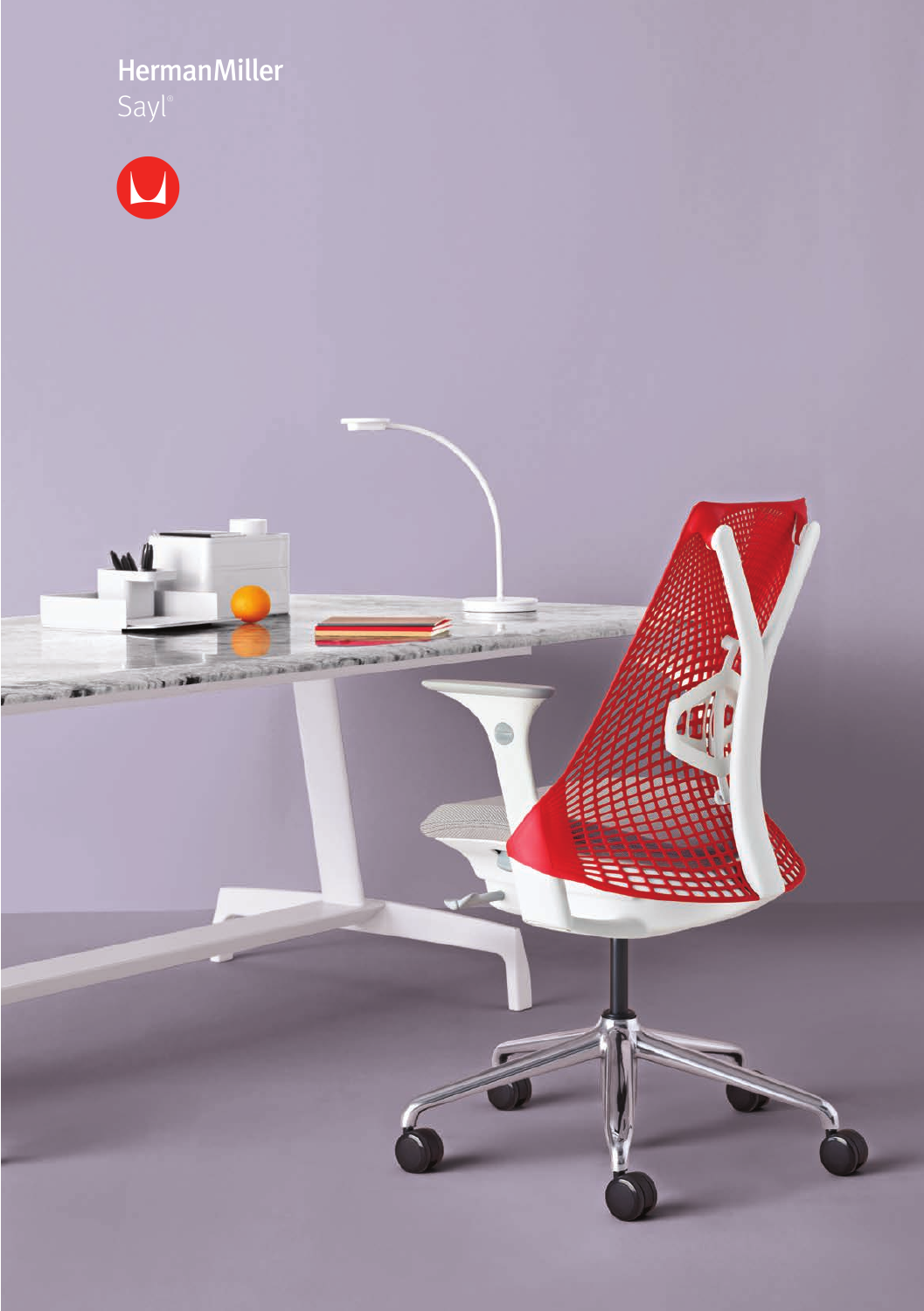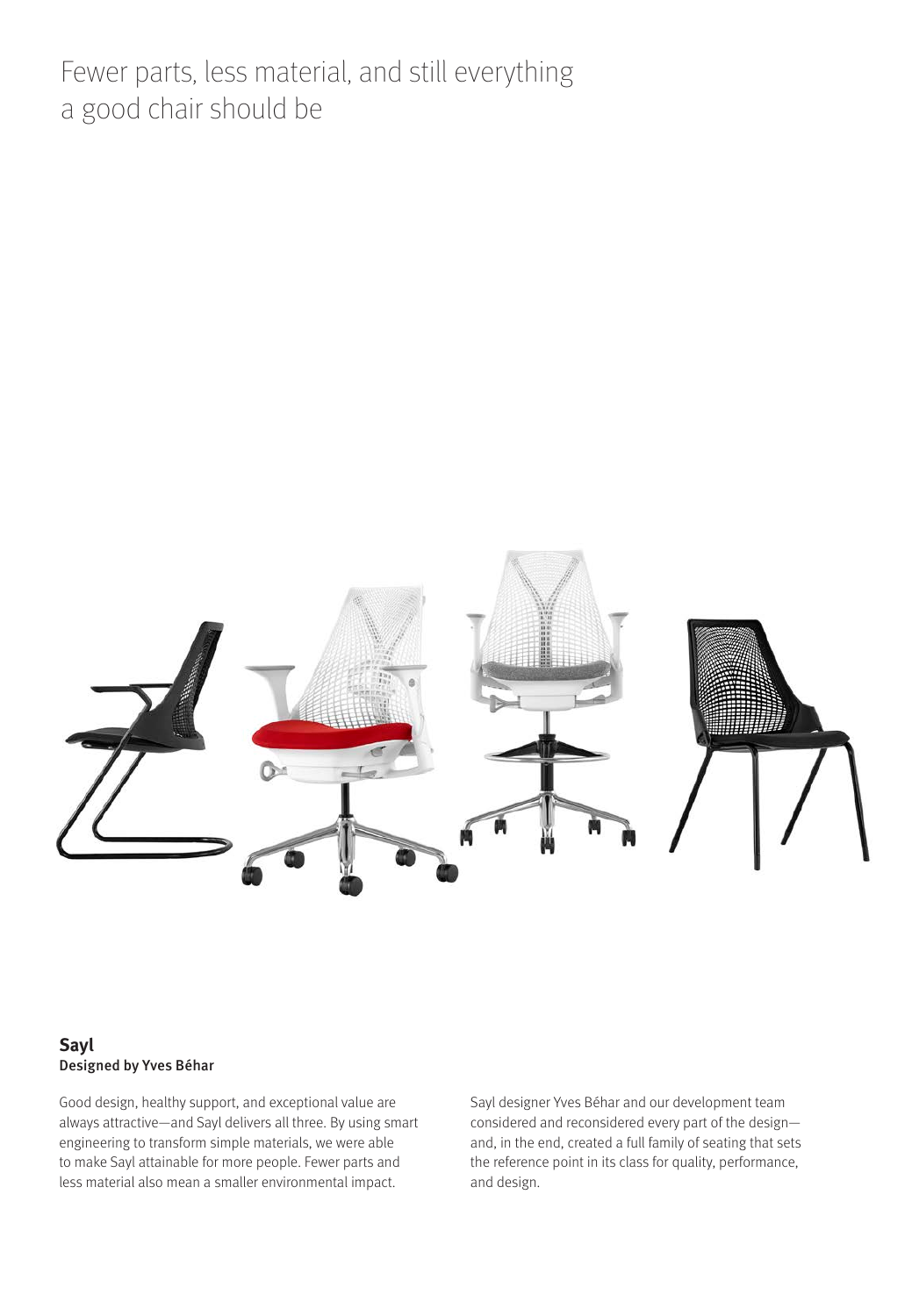Fewer parts, less material, and still everything a good chair should be



## **Sayl**  Designed by Yves Béhar

Good design, healthy support, and exceptional value are always attractive—and Sayl delivers all three. By using smart engineering to transform simple materials, we were able to make Sayl attainable for more people. Fewer parts and less material also mean a smaller environmental impact.

Sayl designer Yves Béhar and our development team considered and reconsidered every part of the design and, in the end, created a full family of seating that sets the reference point in its class for quality, performance, and design.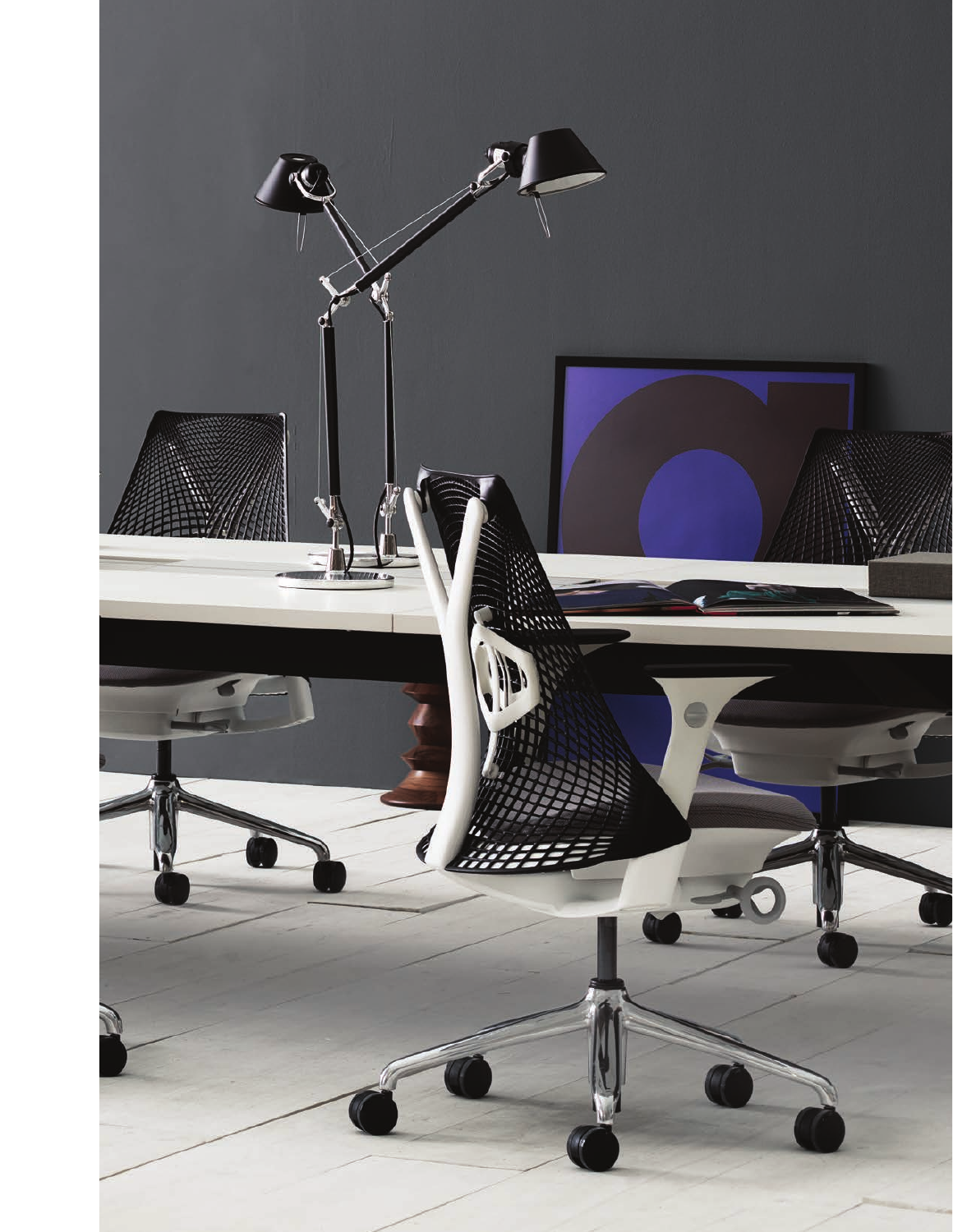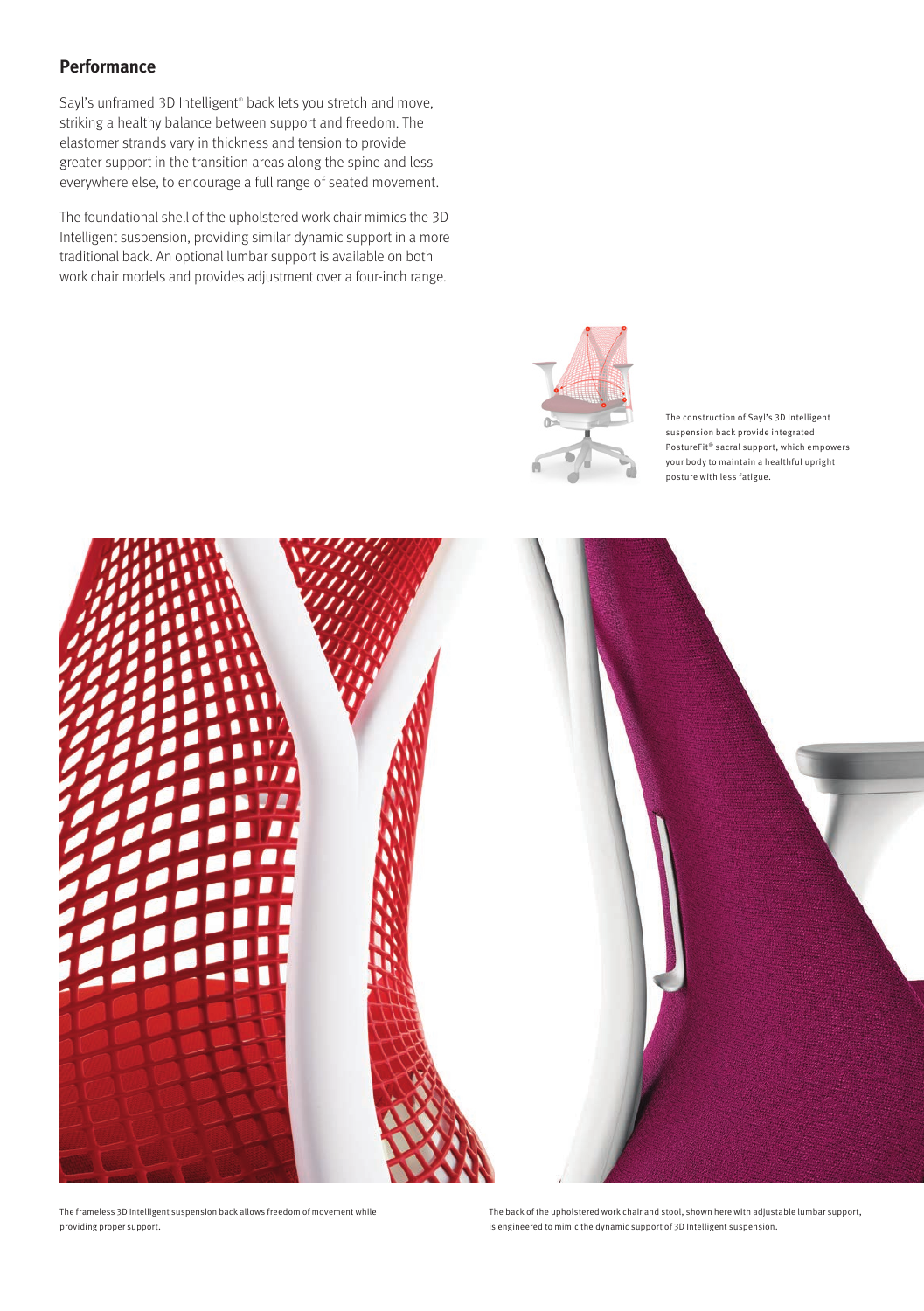## **Performance**

Sayl's unframed 3D Intelligent® back lets you stretch and move, striking a healthy balance between support and freedom. The elastomer strands vary in thickness and tension to provide greater support in the transition areas along the spine and less everywhere else, to encourage a full range of seated movement.

The foundational shell of the upholstered work chair mimics the 3D Intelligent suspension, providing similar dynamic support in a more traditional back. An optional lumbar support is available on both work chair models and provides adjustment over a four-inch range.



The construction of Sayl's 3D Intelligent suspension back provide integrated PostureFit® sacral support, which empowers your body to maintain a healthful upright posture with less fatigue.



The frameless 3D Intelligent suspension back allows freedom of movement while providing proper support.

The back of the upholstered work chair and stool, shown here with adjustable lumbar support, is engineered to mimic the dynamic support of 3D Intelligent suspension.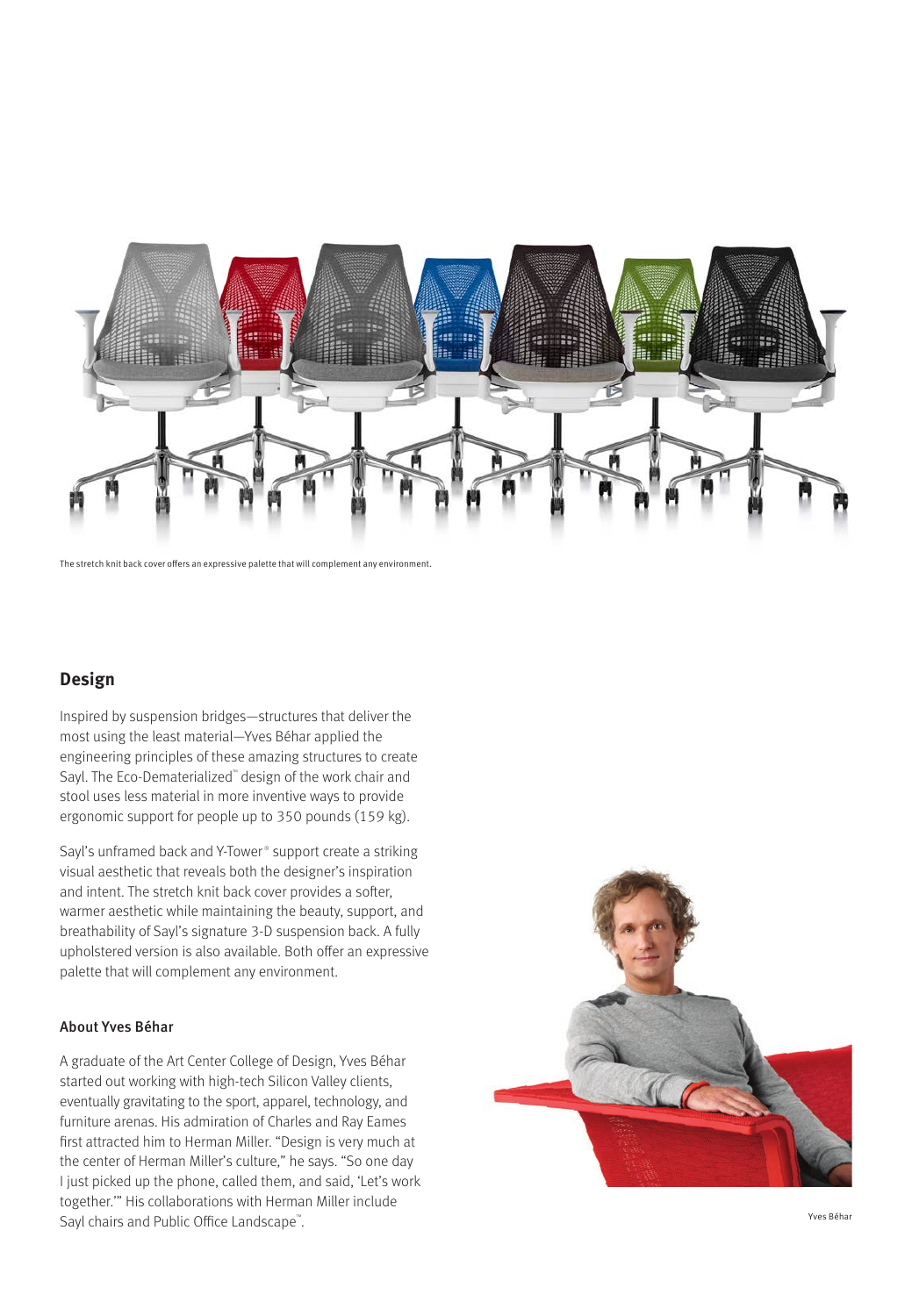

The stretch knit back cover offers an expressive palette that will complement any environment.

# **Design**

Inspired by suspension bridges—structures that deliver the most using the least material—Yves Béhar applied the engineering principles of these amazing structures to create Sayl. The Eco-Dematerialized™ design of the work chair and stool uses less material in more inventive ways to provide ergonomic support for people up to 350 pounds (159 kg).

Sayl's unframed back and Y-Tower<sup>®</sup> support create a striking visual aesthetic that reveals both the designer's inspiration and intent. The stretch knit back cover provides a softer, warmer aesthetic while maintaining the beauty, support, and breathability of Sayl's signature 3-D suspension back. A fully upholstered version is also available. Both offer an expressive palette that will complement any environment.

#### About Yves Béhar

A graduate of the Art Center College of Design, Yves Béhar started out working with high-tech Silicon Valley clients, eventually gravitating to the sport, apparel, technology, and furniture arenas. His admiration of Charles and Ray Eames first attracted him to Herman Miller. "Design is very much at the center of Herman Miller's culture," he says. "So one day I just picked up the phone, called them, and said, 'Let's work together.'" His collaborations with Herman Miller include Sayl chairs and Public Office Landscape™. . Yves Béhar